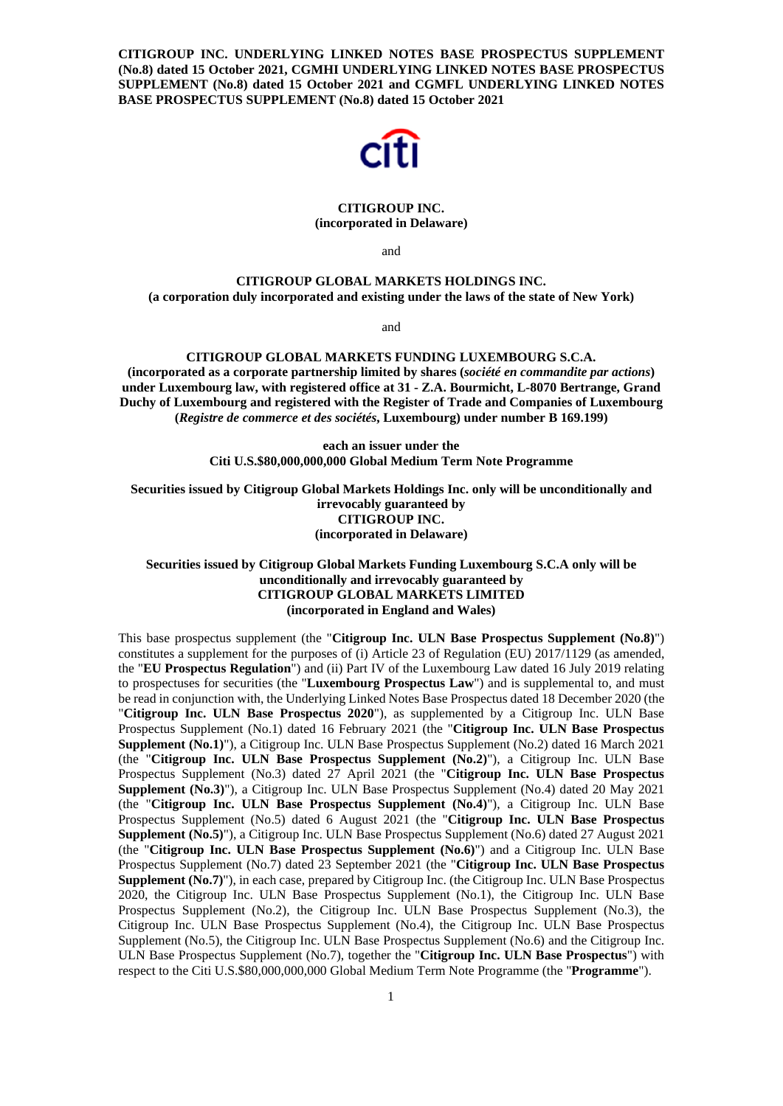**CITIGROUP INC. UNDERLYING LINKED NOTES BASE PROSPECTUS SUPPLEMENT (No.8) dated 15 October 2021, CGMHI UNDERLYING LINKED NOTES BASE PROSPECTUS SUPPLEMENT (No.8) dated 15 October 2021 and CGMFL UNDERLYING LINKED NOTES BASE PROSPECTUS SUPPLEMENT (No.8) dated 15 October 2021** 



# **CITIGROUP INC. (incorporated in Delaware)**

and

# **CITIGROUP GLOBAL MARKETS HOLDINGS INC. (a corporation duly incorporated and existing under the laws of the state of New York)**

and

# **CITIGROUP GLOBAL MARKETS FUNDING LUXEMBOURG S.C.A.**

**(incorporated as a corporate partnership limited by shares (***société en commandite par actions***) under Luxembourg law, with registered office at 31 - Z.A. Bourmicht, L-8070 Bertrange, Grand Duchy of Luxembourg and registered with the Register of Trade and Companies of Luxembourg (***Registre de commerce et des sociétés***, Luxembourg) under number B 169.199)** 

> **each an issuer under the Citi U.S.\$80,000,000,000 Global Medium Term Note Programme**

**Securities issued by Citigroup Global Markets Holdings Inc. only will be unconditionally and irrevocably guaranteed by CITIGROUP INC. (incorporated in Delaware)** 

# **Securities issued by Citigroup Global Markets Funding Luxembourg S.C.A only will be unconditionally and irrevocably guaranteed by CITIGROUP GLOBAL MARKETS LIMITED (incorporated in England and Wales)**

This base prospectus supplement (the "**Citigroup Inc. ULN Base Prospectus Supplement (No.8)**") constitutes a supplement for the purposes of (i) Article 23 of Regulation (EU) 2017/1129 (as amended, the "**EU Prospectus Regulation**") and (ii) Part IV of the Luxembourg Law dated 16 July 2019 relating to prospectuses for securities (the "**Luxembourg Prospectus Law**") and is supplemental to, and must be read in conjunction with, the Underlying Linked Notes Base Prospectus dated 18 December 2020 (the "**Citigroup Inc. ULN Base Prospectus 2020**"), as supplemented by a Citigroup Inc. ULN Base Prospectus Supplement (No.1) dated 16 February 2021 (the "**Citigroup Inc. ULN Base Prospectus Supplement (No.1)**"), a Citigroup Inc. ULN Base Prospectus Supplement (No.2) dated 16 March 2021 (the "**Citigroup Inc. ULN Base Prospectus Supplement (No.2)**"), a Citigroup Inc. ULN Base Prospectus Supplement (No.3) dated 27 April 2021 (the "**Citigroup Inc. ULN Base Prospectus Supplement (No.3)**"), a Citigroup Inc. ULN Base Prospectus Supplement (No.4) dated 20 May 2021 (the "**Citigroup Inc. ULN Base Prospectus Supplement (No.4)**"), a Citigroup Inc. ULN Base Prospectus Supplement (No.5) dated 6 August 2021 (the "**Citigroup Inc. ULN Base Prospectus Supplement (No.5)**"), a Citigroup Inc. ULN Base Prospectus Supplement (No.6) dated 27 August 2021 (the "**Citigroup Inc. ULN Base Prospectus Supplement (No.6)**") and a Citigroup Inc. ULN Base Prospectus Supplement (No.7) dated 23 September 2021 (the "**Citigroup Inc. ULN Base Prospectus Supplement (No.7)**"), in each case, prepared by Citigroup Inc. (the Citigroup Inc. ULN Base Prospectus 2020, the Citigroup Inc. ULN Base Prospectus Supplement (No.1), the Citigroup Inc. ULN Base Prospectus Supplement (No.2), the Citigroup Inc. ULN Base Prospectus Supplement (No.3), the Citigroup Inc. ULN Base Prospectus Supplement (No.4), the Citigroup Inc. ULN Base Prospectus Supplement (No.5), the Citigroup Inc. ULN Base Prospectus Supplement (No.6) and the Citigroup Inc. ULN Base Prospectus Supplement (No.7), together the "**Citigroup Inc. ULN Base Prospectus**") with respect to the Citi U.S.\$80,000,000,000 Global Medium Term Note Programme (the "**Programme**").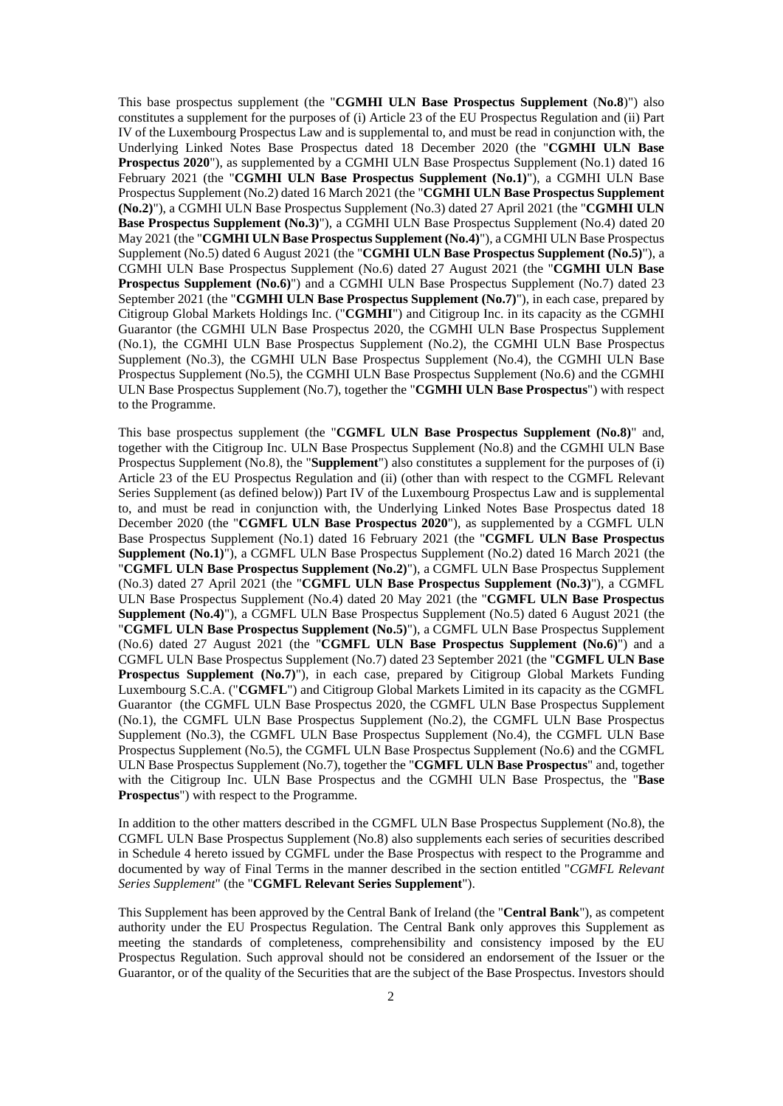This base prospectus supplement (the "**CGMHI ULN Base Prospectus Supplement** (**No.8**)") also constitutes a supplement for the purposes of (i) Article 23 of the EU Prospectus Regulation and (ii) Part IV of the Luxembourg Prospectus Law and is supplemental to, and must be read in conjunction with, the Underlying Linked Notes Base Prospectus dated 18 December 2020 (the "**CGMHI ULN Base Prospectus 2020**"), as supplemented by a CGMHI ULN Base Prospectus Supplement (No.1) dated 16 February 2021 (the "**CGMHI ULN Base Prospectus Supplement (No.1)**"), a CGMHI ULN Base Prospectus Supplement (No.2) dated 16 March 2021 (the "**CGMHI ULN Base Prospectus Supplement (No.2)**"), a CGMHI ULN Base Prospectus Supplement (No.3) dated 27 April 2021 (the "**CGMHI ULN Base Prospectus Supplement (No.3)**"), a CGMHI ULN Base Prospectus Supplement (No.4) dated 20 May 2021 (the "**CGMHI ULN Base Prospectus Supplement (No.4)**"), a CGMHI ULN Base Prospectus Supplement (No.5) dated 6 August 2021 (the "**CGMHI ULN Base Prospectus Supplement (No.5)**"), a CGMHI ULN Base Prospectus Supplement (No.6) dated 27 August 2021 (the "**CGMHI ULN Base Prospectus Supplement (No.6)**") and a CGMHI ULN Base Prospectus Supplement (No.7) dated 23 September 2021 (the "**CGMHI ULN Base Prospectus Supplement (No.7)**"), in each case, prepared by Citigroup Global Markets Holdings Inc. ("**CGMHI**") and Citigroup Inc. in its capacity as the CGMHI Guarantor (the CGMHI ULN Base Prospectus 2020, the CGMHI ULN Base Prospectus Supplement (No.1), the CGMHI ULN Base Prospectus Supplement (No.2), the CGMHI ULN Base Prospectus Supplement (No.3), the CGMHI ULN Base Prospectus Supplement (No.4), the CGMHI ULN Base Prospectus Supplement (No.5), the CGMHI ULN Base Prospectus Supplement (No.6) and the CGMHI ULN Base Prospectus Supplement (No.7), together the "**CGMHI ULN Base Prospectus**") with respect to the Programme.

This base prospectus supplement (the "**CGMFL ULN Base Prospectus Supplement (No.8)**" and, together with the Citigroup Inc. ULN Base Prospectus Supplement (No.8) and the CGMHI ULN Base Prospectus Supplement (No.8), the "**Supplement**") also constitutes a supplement for the purposes of (i) Article 23 of the EU Prospectus Regulation and (ii) (other than with respect to the CGMFL Relevant Series Supplement (as defined below)) Part IV of the Luxembourg Prospectus Law and is supplemental to, and must be read in conjunction with, the Underlying Linked Notes Base Prospectus dated 18 December 2020 (the "**CGMFL ULN Base Prospectus 2020**"), as supplemented by a CGMFL ULN Base Prospectus Supplement (No.1) dated 16 February 2021 (the "**CGMFL ULN Base Prospectus Supplement (No.1)**"), a CGMFL ULN Base Prospectus Supplement (No.2) dated 16 March 2021 (the "**CGMFL ULN Base Prospectus Supplement (No.2)**"), a CGMFL ULN Base Prospectus Supplement (No.3) dated 27 April 2021 (the "**CGMFL ULN Base Prospectus Supplement (No.3)**"), a CGMFL ULN Base Prospectus Supplement (No.4) dated 20 May 2021 (the "**CGMFL ULN Base Prospectus Supplement (No.4)**"), a CGMFL ULN Base Prospectus Supplement (No.5) dated 6 August 2021 (the "**CGMFL ULN Base Prospectus Supplement (No.5)**"), a CGMFL ULN Base Prospectus Supplement (No.6) dated 27 August 2021 (the "**CGMFL ULN Base Prospectus Supplement (No.6)**") and a CGMFL ULN Base Prospectus Supplement (No.7) dated 23 September 2021 (the "**CGMFL ULN Base Prospectus Supplement (No.7)<sup>"</sup>)**, in each case, prepared by Citigroup Global Markets Funding Luxembourg S.C.A. ("**CGMFL**") and Citigroup Global Markets Limited in its capacity as the CGMFL Guarantor (the CGMFL ULN Base Prospectus 2020, the CGMFL ULN Base Prospectus Supplement (No.1), the CGMFL ULN Base Prospectus Supplement (No.2), the CGMFL ULN Base Prospectus Supplement (No.3), the CGMFL ULN Base Prospectus Supplement (No.4), the CGMFL ULN Base Prospectus Supplement (No.5), the CGMFL ULN Base Prospectus Supplement (No.6) and the CGMFL ULN Base Prospectus Supplement (No.7), together the "**CGMFL ULN Base Prospectus**" and, together with the Citigroup Inc. ULN Base Prospectus and the CGMHI ULN Base Prospectus, the "**Base Prospectus**") with respect to the Programme.

In addition to the other matters described in the CGMFL ULN Base Prospectus Supplement (No.8), the CGMFL ULN Base Prospectus Supplement (No.8) also supplements each series of securities described in Schedule 4 hereto issued by CGMFL under the Base Prospectus with respect to the Programme and documented by way of Final Terms in the manner described in the section entitled "*CGMFL Relevant Series Supplement*" (the "**CGMFL Relevant Series Supplement**").

This Supplement has been approved by the Central Bank of Ireland (the "**Central Bank**"), as competent authority under the EU Prospectus Regulation. The Central Bank only approves this Supplement as meeting the standards of completeness, comprehensibility and consistency imposed by the EU Prospectus Regulation. Such approval should not be considered an endorsement of the Issuer or the Guarantor, or of the quality of the Securities that are the subject of the Base Prospectus. Investors should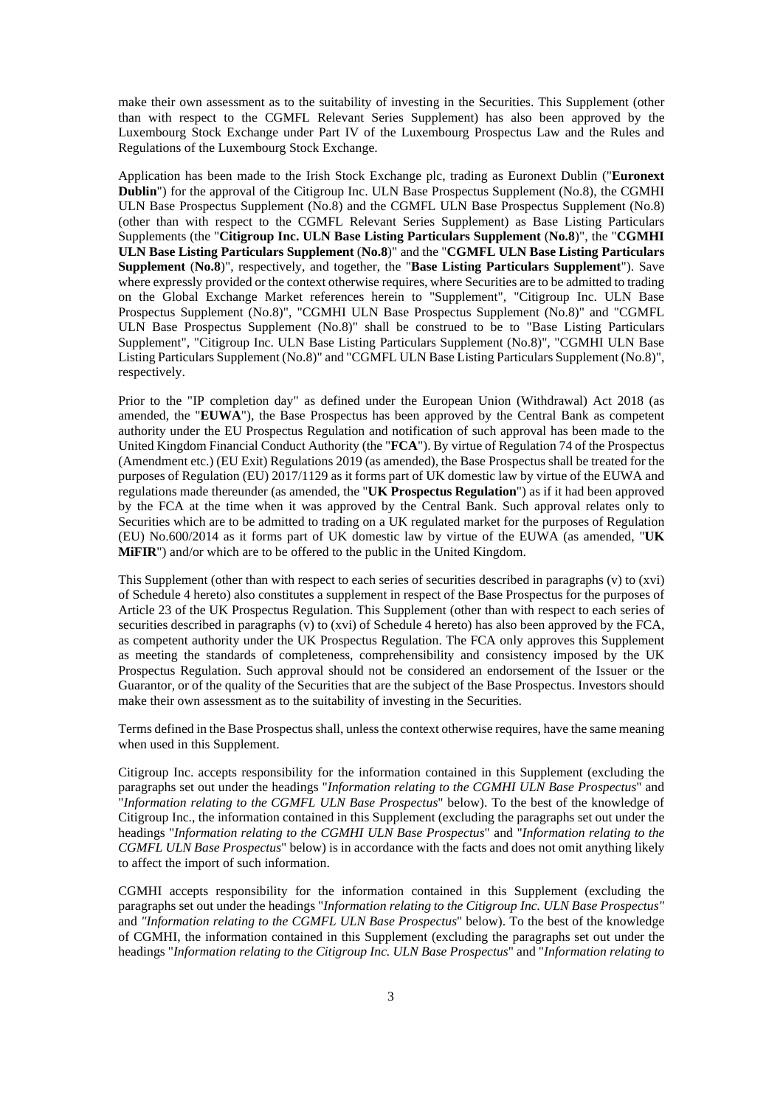make their own assessment as to the suitability of investing in the Securities. This Supplement (other than with respect to the CGMFL Relevant Series Supplement) has also been approved by the Luxembourg Stock Exchange under Part IV of the Luxembourg Prospectus Law and the Rules and Regulations of the Luxembourg Stock Exchange.

Application has been made to the Irish Stock Exchange plc, trading as Euronext Dublin ("**Euronext Dublin**") for the approval of the Citigroup Inc. ULN Base Prospectus Supplement (No.8), the CGMHI ULN Base Prospectus Supplement (No.8) and the CGMFL ULN Base Prospectus Supplement (No.8) (other than with respect to the CGMFL Relevant Series Supplement) as Base Listing Particulars Supplements (the "**Citigroup Inc. ULN Base Listing Particulars Supplement** (**No.8**)", the "**CGMHI ULN Base Listing Particulars Supplement** (**No.8**)" and the "**CGMFL ULN Base Listing Particulars Supplement** (**No.8**)", respectively, and together, the "**Base Listing Particulars Supplement**"). Save where expressly provided or the context otherwise requires, where Securities are to be admitted to trading on the Global Exchange Market references herein to "Supplement", "Citigroup Inc. ULN Base Prospectus Supplement (No.8)", "CGMHI ULN Base Prospectus Supplement (No.8)" and "CGMFL ULN Base Prospectus Supplement (No.8)" shall be construed to be to "Base Listing Particulars Supplement", "Citigroup Inc. ULN Base Listing Particulars Supplement (No.8)", "CGMHI ULN Base Listing Particulars Supplement (No.8)" and "CGMFL ULN Base Listing Particulars Supplement (No.8)", respectively.

Prior to the "IP completion day" as defined under the European Union (Withdrawal) Act 2018 (as amended, the "**EUWA**"), the Base Prospectus has been approved by the Central Bank as competent authority under the EU Prospectus Regulation and notification of such approval has been made to the United Kingdom Financial Conduct Authority (the "**FCA**"). By virtue of Regulation 74 of the Prospectus (Amendment etc.) (EU Exit) Regulations 2019 (as amended), the Base Prospectus shall be treated for the purposes of Regulation (EU) 2017/1129 as it forms part of UK domestic law by virtue of the EUWA and regulations made thereunder (as amended, the "**UK Prospectus Regulation**") as if it had been approved by the FCA at the time when it was approved by the Central Bank. Such approval relates only to Securities which are to be admitted to trading on a UK regulated market for the purposes of Regulation (EU) No.600/2014 as it forms part of UK domestic law by virtue of the EUWA (as amended, "**UK MiFIR**") and/or which are to be offered to the public in the United Kingdom.

This Supplement (other than with respect to each series of securities described in paragraphs (v) to (xvi) of Schedule 4 hereto) also constitutes a supplement in respect of the Base Prospectus for the purposes of Article 23 of the UK Prospectus Regulation. This Supplement (other than with respect to each series of securities described in paragraphs (v) to (xvi) of Schedule 4 hereto) has also been approved by the FCA, as competent authority under the UK Prospectus Regulation. The FCA only approves this Supplement as meeting the standards of completeness, comprehensibility and consistency imposed by the UK Prospectus Regulation. Such approval should not be considered an endorsement of the Issuer or the Guarantor, or of the quality of the Securities that are the subject of the Base Prospectus. Investors should make their own assessment as to the suitability of investing in the Securities.

Terms defined in the Base Prospectus shall, unless the context otherwise requires, have the same meaning when used in this Supplement.

Citigroup Inc. accepts responsibility for the information contained in this Supplement (excluding the paragraphs set out under the headings "*Information relating to the CGMHI ULN Base Prospectus*" and "*Information relating to the CGMFL ULN Base Prospectus*" below). To the best of the knowledge of Citigroup Inc., the information contained in this Supplement (excluding the paragraphs set out under the headings "*Information relating to the CGMHI ULN Base Prospectus*" and "*Information relating to the CGMFL ULN Base Prospectus*" below) is in accordance with the facts and does not omit anything likely to affect the import of such information.

CGMHI accepts responsibility for the information contained in this Supplement (excluding the paragraphs set out under the headings "*Information relating to the Citigroup Inc. ULN Base Prospectus"*  and *"Information relating to the CGMFL ULN Base Prospectus*" below). To the best of the knowledge of CGMHI, the information contained in this Supplement (excluding the paragraphs set out under the headings "*Information relating to the Citigroup Inc. ULN Base Prospectus*" and "*Information relating to*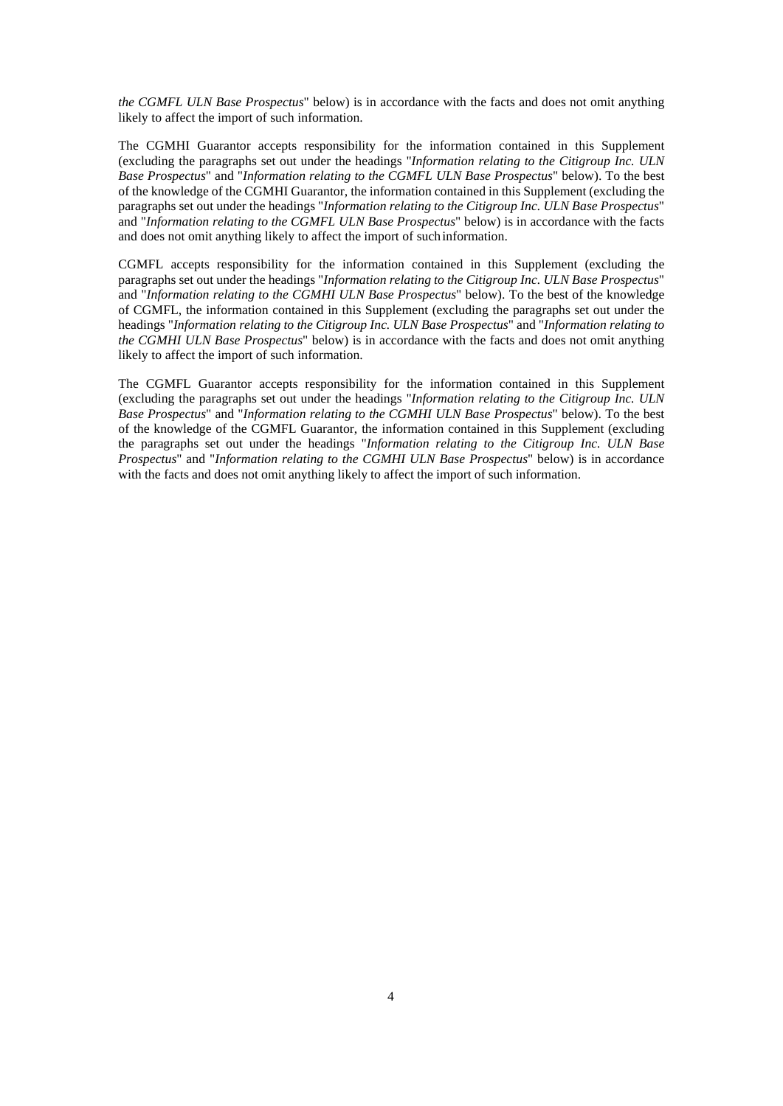*the CGMFL ULN Base Prospectus*" below) is in accordance with the facts and does not omit anything likely to affect the import of such information.

The CGMHI Guarantor accepts responsibility for the information contained in this Supplement (excluding the paragraphs set out under the headings "*Information relating to the Citigroup Inc. ULN Base Prospectus*" and "*Information relating to the CGMFL ULN Base Prospectus*" below). To the best of the knowledge of the CGMHI Guarantor, the information contained in this Supplement (excluding the paragraphs set out under the headings "*Information relating to the Citigroup Inc. ULN Base Prospectus*" and "*Information relating to the CGMFL ULN Base Prospectus*" below) is in accordance with the facts and does not omit anything likely to affect the import of such information.

CGMFL accepts responsibility for the information contained in this Supplement (excluding the paragraphs set out under the headings "*Information relating to the Citigroup Inc. ULN Base Prospectus*" and "*Information relating to the CGMHI ULN Base Prospectus*" below). To the best of the knowledge of CGMFL, the information contained in this Supplement (excluding the paragraphs set out under the headings "*Information relating to the Citigroup Inc. ULN Base Prospectus*" and "*Information relating to the CGMHI ULN Base Prospectus*" below) is in accordance with the facts and does not omit anything likely to affect the import of such information.

The CGMFL Guarantor accepts responsibility for the information contained in this Supplement (excluding the paragraphs set out under the headings "*Information relating to the Citigroup Inc. ULN Base Prospectus*" and "*Information relating to the CGMHI ULN Base Prospectus*" below). To the best of the knowledge of the CGMFL Guarantor, the information contained in this Supplement (excluding the paragraphs set out under the headings "*Information relating to the Citigroup Inc. ULN Base Prospectus*" and "*Information relating to the CGMHI ULN Base Prospectus*" below) is in accordance with the facts and does not omit anything likely to affect the import of such information.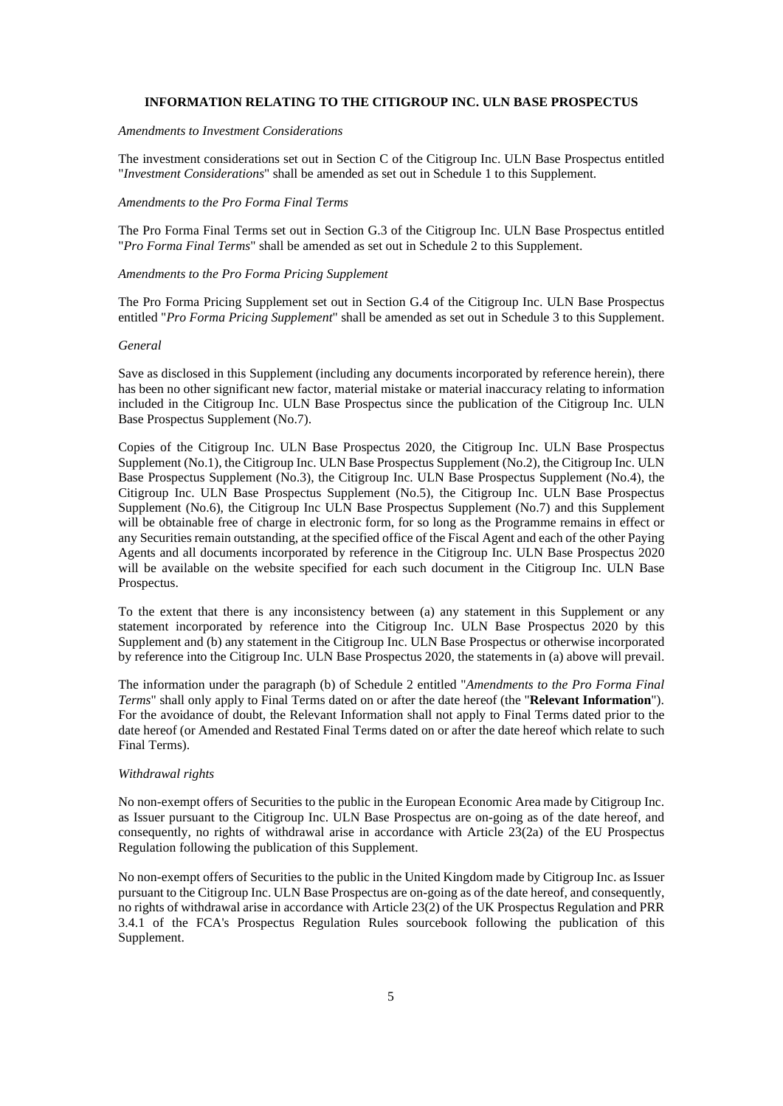#### **INFORMATION RELATING TO THE CITIGROUP INC. ULN BASE PROSPECTUS**

*Amendments to Investment Considerations* 

The investment considerations set out in Section C of the Citigroup Inc. ULN Base Prospectus entitled "*Investment Considerations*" shall be amended as set out in Schedule 1 to this Supplement.

#### *Amendments to the Pro Forma Final Terms*

The Pro Forma Final Terms set out in Section G.3 of the Citigroup Inc. ULN Base Prospectus entitled "*Pro Forma Final Terms*" shall be amended as set out in Schedule 2 to this Supplement.

# *Amendments to the Pro Forma Pricing Supplement*

The Pro Forma Pricing Supplement set out in Section G.4 of the Citigroup Inc. ULN Base Prospectus entitled "*Pro Forma Pricing Supplement*" shall be amended as set out in Schedule 3 to this Supplement.

#### *General*

Save as disclosed in this Supplement (including any documents incorporated by reference herein), there has been no other significant new factor, material mistake or material inaccuracy relating to information included in the Citigroup Inc. ULN Base Prospectus since the publication of the Citigroup Inc. ULN Base Prospectus Supplement (No.7).

Copies of the Citigroup Inc. ULN Base Prospectus 2020, the Citigroup Inc. ULN Base Prospectus Supplement (No.1), the Citigroup Inc. ULN Base Prospectus Supplement (No.2), the Citigroup Inc. ULN Base Prospectus Supplement (No.3), the Citigroup Inc. ULN Base Prospectus Supplement (No.4), the Citigroup Inc. ULN Base Prospectus Supplement (No.5), the Citigroup Inc. ULN Base Prospectus Supplement (No.6), the Citigroup Inc ULN Base Prospectus Supplement (No.7) and this Supplement will be obtainable free of charge in electronic form, for so long as the Programme remains in effect or any Securities remain outstanding, at the specified office of the Fiscal Agent and each of the other Paying Agents and all documents incorporated by reference in the Citigroup Inc. ULN Base Prospectus 2020 will be available on the website specified for each such document in the Citigroup Inc. ULN Base Prospectus.

To the extent that there is any inconsistency between (a) any statement in this Supplement or any statement incorporated by reference into the Citigroup Inc. ULN Base Prospectus 2020 by this Supplement and (b) any statement in the Citigroup Inc. ULN Base Prospectus or otherwise incorporated by reference into the Citigroup Inc. ULN Base Prospectus 2020, the statements in (a) above will prevail.

The information under the paragraph (b) of Schedule 2 entitled "*Amendments to the Pro Forma Final Terms*" shall only apply to Final Terms dated on or after the date hereof (the "**Relevant Information**"). For the avoidance of doubt, the Relevant Information shall not apply to Final Terms dated prior to the date hereof (or Amended and Restated Final Terms dated on or after the date hereof which relate to such Final Terms).

#### *Withdrawal rights*

No non-exempt offers of Securities to the public in the European Economic Area made by Citigroup Inc. as Issuer pursuant to the Citigroup Inc. ULN Base Prospectus are on-going as of the date hereof, and consequently, no rights of withdrawal arise in accordance with Article 23(2a) of the EU Prospectus Regulation following the publication of this Supplement.

No non-exempt offers of Securities to the public in the United Kingdom made by Citigroup Inc. as Issuer pursuant to the Citigroup Inc. ULN Base Prospectus are on-going as of the date hereof, and consequently, no rights of withdrawal arise in accordance with Article 23(2) of the UK Prospectus Regulation and PRR 3.4.1 of the FCA's Prospectus Regulation Rules sourcebook following the publication of this Supplement.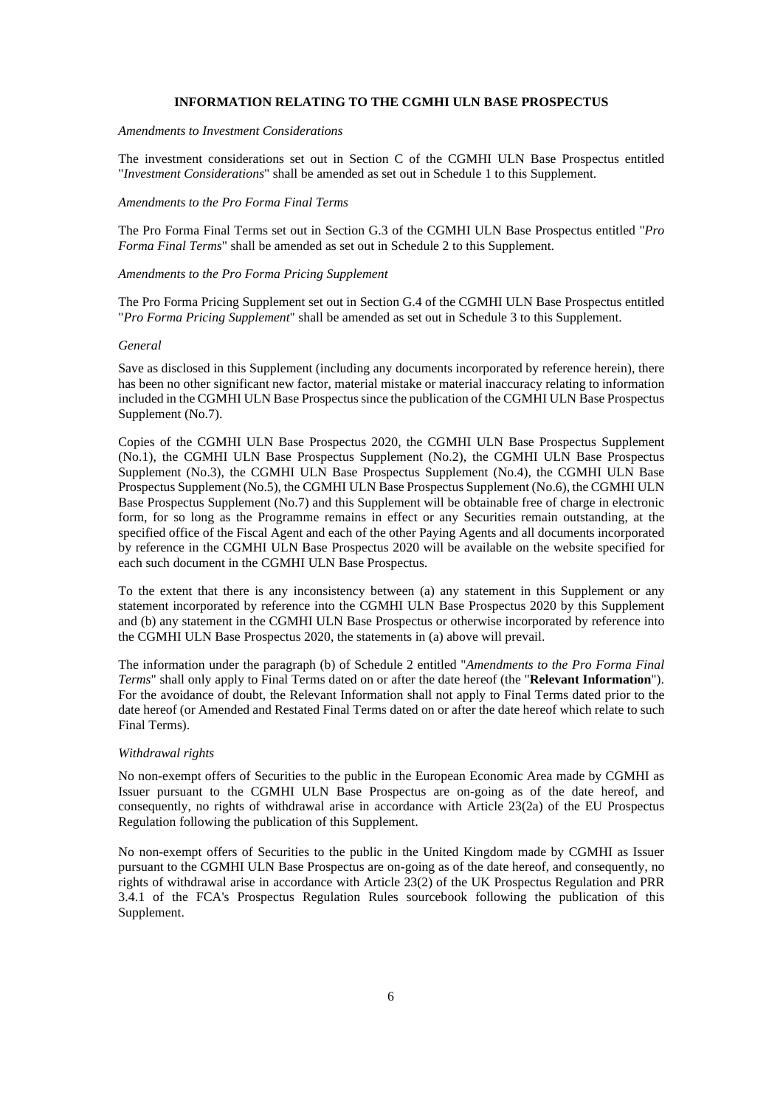#### **INFORMATION RELATING TO THE CGMHI ULN BASE PROSPECTUS**

*Amendments to Investment Considerations* 

The investment considerations set out in Section C of the CGMHI ULN Base Prospectus entitled "*Investment Considerations*" shall be amended as set out in Schedule 1 to this Supplement.

# *Amendments to the Pro Forma Final Terms*

The Pro Forma Final Terms set out in Section G.3 of the CGMHI ULN Base Prospectus entitled "*Pro Forma Final Terms*" shall be amended as set out in Schedule 2 to this Supplement.

# *Amendments to the Pro Forma Pricing Supplement*

The Pro Forma Pricing Supplement set out in Section G.4 of the CGMHI ULN Base Prospectus entitled "*Pro Forma Pricing Supplement*" shall be amended as set out in Schedule 3 to this Supplement.

#### *General*

Save as disclosed in this Supplement (including any documents incorporated by reference herein), there has been no other significant new factor, material mistake or material inaccuracy relating to information included in the CGMHI ULN Base Prospectus since the publication of the CGMHI ULN Base Prospectus Supplement (No.7).

Copies of the CGMHI ULN Base Prospectus 2020, the CGMHI ULN Base Prospectus Supplement (No.1), the CGMHI ULN Base Prospectus Supplement (No.2), the CGMHI ULN Base Prospectus Supplement (No.3), the CGMHI ULN Base Prospectus Supplement (No.4), the CGMHI ULN Base Prospectus Supplement (No.5), the CGMHI ULN Base Prospectus Supplement (No.6), the CGMHI ULN Base Prospectus Supplement (No.7) and this Supplement will be obtainable free of charge in electronic form, for so long as the Programme remains in effect or any Securities remain outstanding, at the specified office of the Fiscal Agent and each of the other Paying Agents and all documents incorporated by reference in the CGMHI ULN Base Prospectus 2020 will be available on the website specified for each such document in the CGMHI ULN Base Prospectus.

To the extent that there is any inconsistency between (a) any statement in this Supplement or any statement incorporated by reference into the CGMHI ULN Base Prospectus 2020 by this Supplement and (b) any statement in the CGMHI ULN Base Prospectus or otherwise incorporated by reference into the CGMHI ULN Base Prospectus 2020, the statements in (a) above will prevail.

The information under the paragraph (b) of Schedule 2 entitled "*Amendments to the Pro Forma Final Terms*" shall only apply to Final Terms dated on or after the date hereof (the "**Relevant Information**"). For the avoidance of doubt, the Relevant Information shall not apply to Final Terms dated prior to the date hereof (or Amended and Restated Final Terms dated on or after the date hereof which relate to such Final Terms).

# *Withdrawal rights*

No non-exempt offers of Securities to the public in the European Economic Area made by CGMHI as Issuer pursuant to the CGMHI ULN Base Prospectus are on-going as of the date hereof, and consequently, no rights of withdrawal arise in accordance with Article 23(2a) of the EU Prospectus Regulation following the publication of this Supplement.

No non-exempt offers of Securities to the public in the United Kingdom made by CGMHI as Issuer pursuant to the CGMHI ULN Base Prospectus are on-going as of the date hereof, and consequently, no rights of withdrawal arise in accordance with Article 23(2) of the UK Prospectus Regulation and PRR 3.4.1 of the FCA's Prospectus Regulation Rules sourcebook following the publication of this Supplement.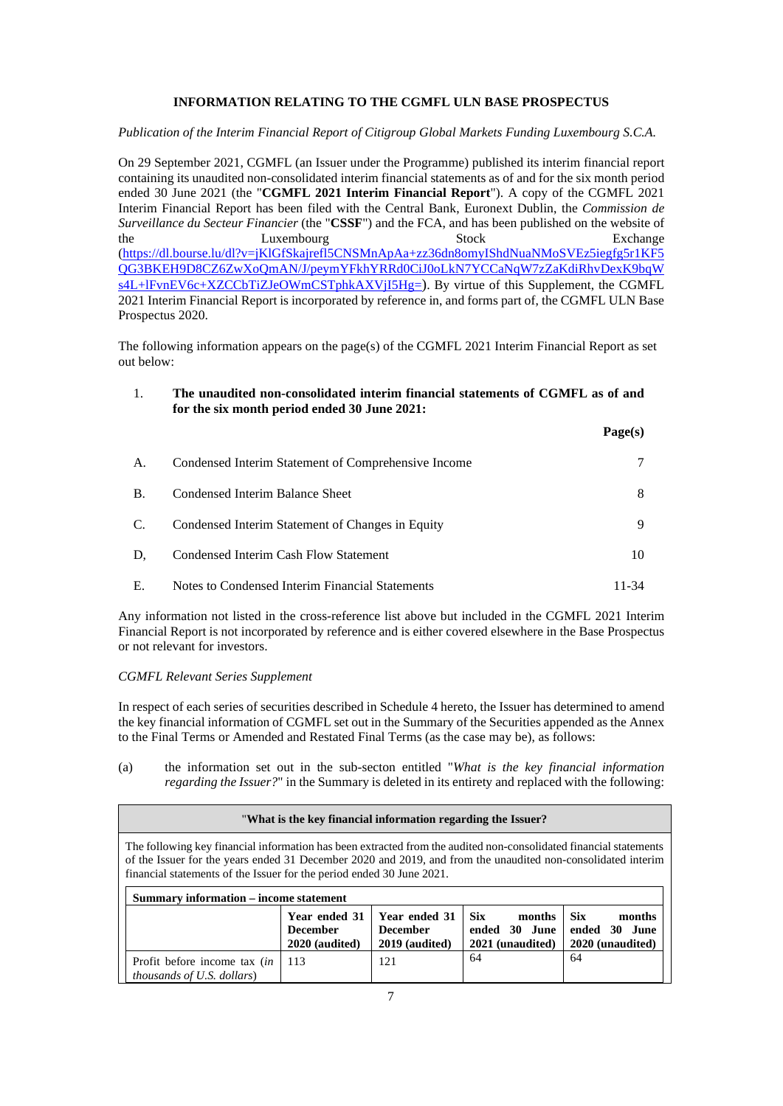# **INFORMATION RELATING TO THE CGMFL ULN BASE PROSPECTUS**

*Publication of the Interim Financial Report of Citigroup Global Markets Funding Luxembourg S.C.A.* 

On 29 September 2021, CGMFL (an Issuer under the Programme) published its interim financial report containing its unaudited non-consolidated interim financial statements as of and for the six month period ended 30 June 2021 (the "**CGMFL 2021 Interim Financial Report**"). A copy of the CGMFL 2021 Interim Financial Report has been filed with the Central Bank, Euronext Dublin, the *Commission de Surveillance du Secteur Financier* (the "**CSSF**") and the FCA, and has been published on the website of the Luxembourg Stock Exchange (https://dl.bourse.lu/dl?v=jKlGfSkajrefl5CNSMnApAa+zz36dn8omyIShdNuaNMoSVEz5iegfg5r1KF5 QG3BKEH9D8CZ6ZwXoQmAN/J/peymYFkhYRRd0CiJ0oLkN7YCCaNqW7zZaKdiRhvDexK9bqW s4L+lFvnEV6c+XZCCbTiZJeOWmCSTphkAXVjI5Hg=). By virtue of this Supplement, the CGMFL 2021 Interim Financial Report is incorporated by reference in, and forms part of, the CGMFL ULN Base Prospectus 2020.

The following information appears on the page(s) of the CGMFL 2021 Interim Financial Report as set out below:

# 1. **The unaudited non-consolidated interim financial statements of CGMFL as of and for the six month period ended 30 June 2021:**

 $\mathbf{P}_{\text{max}}(s)$ 

|           |                                                     | r age(s) |
|-----------|-----------------------------------------------------|----------|
| А.        | Condensed Interim Statement of Comprehensive Income |          |
| <b>B.</b> | Condensed Interim Balance Sheet                     | 8        |
| C.        | Condensed Interim Statement of Changes in Equity    | 9        |
| D.        | Condensed Interim Cash Flow Statement               | 10       |
| Е.        | Notes to Condensed Interim Financial Statements     | 11-34    |

Any information not listed in the cross-reference list above but included in the CGMFL 2021 Interim Financial Report is not incorporated by reference and is either covered elsewhere in the Base Prospectus or not relevant for investors.

### *CGMFL Relevant Series Supplement*

In respect of each series of securities described in Schedule 4 hereto, the Issuer has determined to amend the key financial information of CGMFL set out in the Summary of the Securities appended as the Annex to the Final Terms or Amended and Restated Final Terms (as the case may be), as follows:

(a) the information set out in the sub-secton entitled "*What is the key financial information regarding the Issuer?*" in the Summary is deleted in its entirety and replaced with the following:

|                                                                                                                                                                                                                                                                                                            | "What is the key financial information regarding the Issuer? |                                                    |                                                           |                                                           |  |  |  |  |  |  |
|------------------------------------------------------------------------------------------------------------------------------------------------------------------------------------------------------------------------------------------------------------------------------------------------------------|--------------------------------------------------------------|----------------------------------------------------|-----------------------------------------------------------|-----------------------------------------------------------|--|--|--|--|--|--|
| The following key financial information has been extracted from the audited non-consolidated financial statements<br>of the Issuer for the years ended 31 December 2020 and 2019, and from the unaudited non-consolidated interim<br>financial statements of the Issuer for the period ended 30 June 2021. |                                                              |                                                    |                                                           |                                                           |  |  |  |  |  |  |
| <b>Summary information – income statement</b>                                                                                                                                                                                                                                                              |                                                              |                                                    |                                                           |                                                           |  |  |  |  |  |  |
|                                                                                                                                                                                                                                                                                                            | Year ended 31<br><b>December</b><br>2020 (audited)           | Year ended 31<br><b>December</b><br>2019 (audited) | <b>Six</b><br>months<br>ended 30 June<br>2021 (unaudited) | <b>Six</b><br>months<br>ended 30 June<br>2020 (unaudited) |  |  |  |  |  |  |
| Profit before income tax <i>(in</i> )<br><i>thousands of U.S. dollars</i> )                                                                                                                                                                                                                                | 113                                                          | 121                                                | 64                                                        | 64                                                        |  |  |  |  |  |  |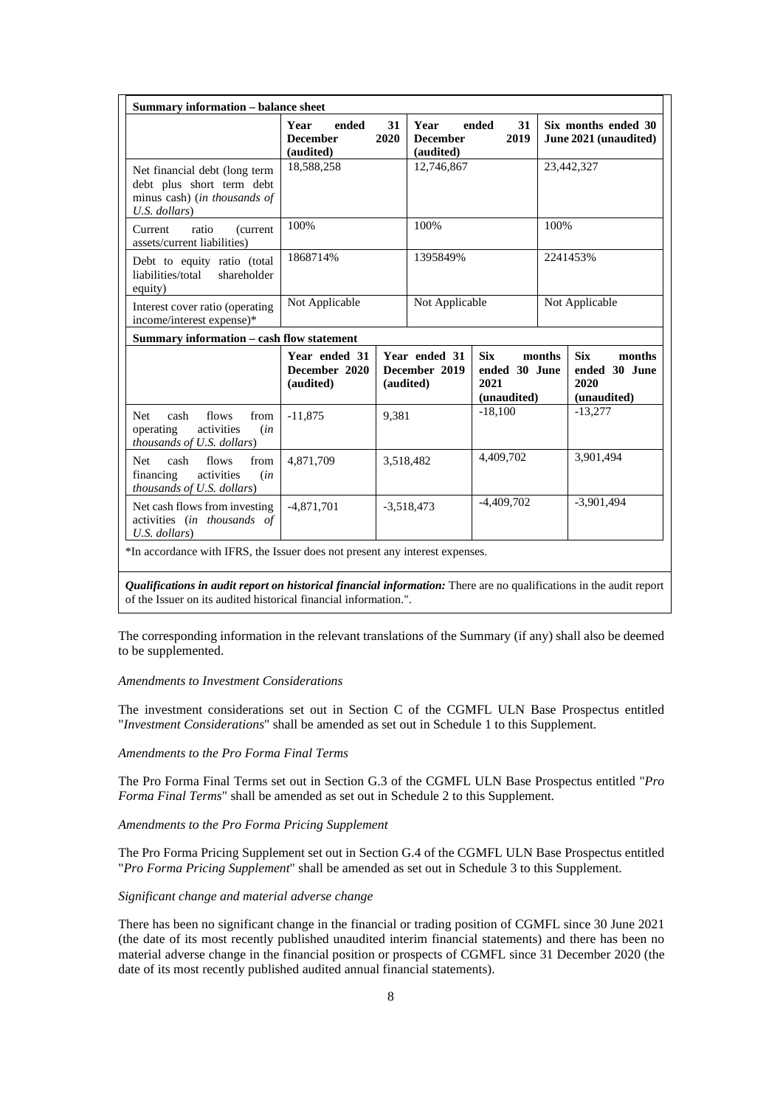|                                                                                                             | ended<br>Year<br><b>December</b><br>(audited) | 31<br>2020   | Year<br><b>December</b><br>(audited) | ended<br>31<br>2019                                |                | Six months ended 30<br>June 2021 (unaudited)                 |
|-------------------------------------------------------------------------------------------------------------|-----------------------------------------------|--------------|--------------------------------------|----------------------------------------------------|----------------|--------------------------------------------------------------|
| Net financial debt (long term<br>debt plus short term debt<br>minus cash) (in thousands of<br>U.S. dollars) | 18,588,258                                    |              | 12,746,867                           |                                                    |                | 23,442,327                                                   |
| ratio<br>Current<br>(current)<br>assets/current liabilities)                                                | 100%                                          |              | 100%                                 |                                                    | 100%           |                                                              |
| Debt to equity ratio (total<br>liabilities/total<br>shareholder<br>equity)                                  | 1868714%                                      |              | 1395849%                             |                                                    | 2241453%       |                                                              |
| Interest cover ratio (operating<br>income/interest expense)*                                                | Not Applicable                                |              | Not Applicable                       |                                                    | Not Applicable |                                                              |
| Summary information – cash flow statement                                                                   |                                               |              |                                      |                                                    |                |                                                              |
|                                                                                                             | Year ended 31<br>December 2020<br>(audited)   | (audited)    | Year ended 31<br>December 2019       | <b>Six</b><br>ended 30 June<br>2021<br>(unaudited) | months         | <b>Six</b><br>months<br>ended 30 June<br>2020<br>(unaudited) |
| <b>Net</b><br>flows<br>from<br>cash<br>operating<br>activities<br>(in<br>thousands of U.S. dollars)         | $-11,875$                                     | 9,381        |                                      | $-18,100$                                          |                | $-13,277$                                                    |
| cash<br>flows<br>from<br><b>Net</b><br>financing<br>activities<br>(in<br>thousands of U.S. dollars)         | 4,871,709                                     | 3,518,482    |                                      | 4,409,702                                          |                | 3,901,494                                                    |
| Net cash flows from investing<br>activities (in thousands of<br>$U.S.$ dollars)                             | $-4,871,701$                                  | $-3,518,473$ |                                      | $-4,409,702$                                       |                | $-3,901,494$                                                 |

*Qualifications in audit report on historical financial information:* There are no qualifications in the audit report of the Issuer on its audited historical financial information.".

The corresponding information in the relevant translations of the Summary (if any) shall also be deemed to be supplemented.

### *Amendments to Investment Considerations*

The investment considerations set out in Section C of the CGMFL ULN Base Prospectus entitled "*Investment Considerations*" shall be amended as set out in Schedule 1 to this Supplement.

# *Amendments to the Pro Forma Final Terms*

The Pro Forma Final Terms set out in Section G.3 of the CGMFL ULN Base Prospectus entitled "*Pro Forma Final Terms*" shall be amended as set out in Schedule 2 to this Supplement.

*Amendments to the Pro Forma Pricing Supplement* 

The Pro Forma Pricing Supplement set out in Section G.4 of the CGMFL ULN Base Prospectus entitled "*Pro Forma Pricing Supplement*" shall be amended as set out in Schedule 3 to this Supplement.

## *Significant change and material adverse change*

There has been no significant change in the financial or trading position of CGMFL since 30 June 2021 (the date of its most recently published unaudited interim financial statements) and there has been no material adverse change in the financial position or prospects of CGMFL since 31 December 2020 (the date of its most recently published audited annual financial statements).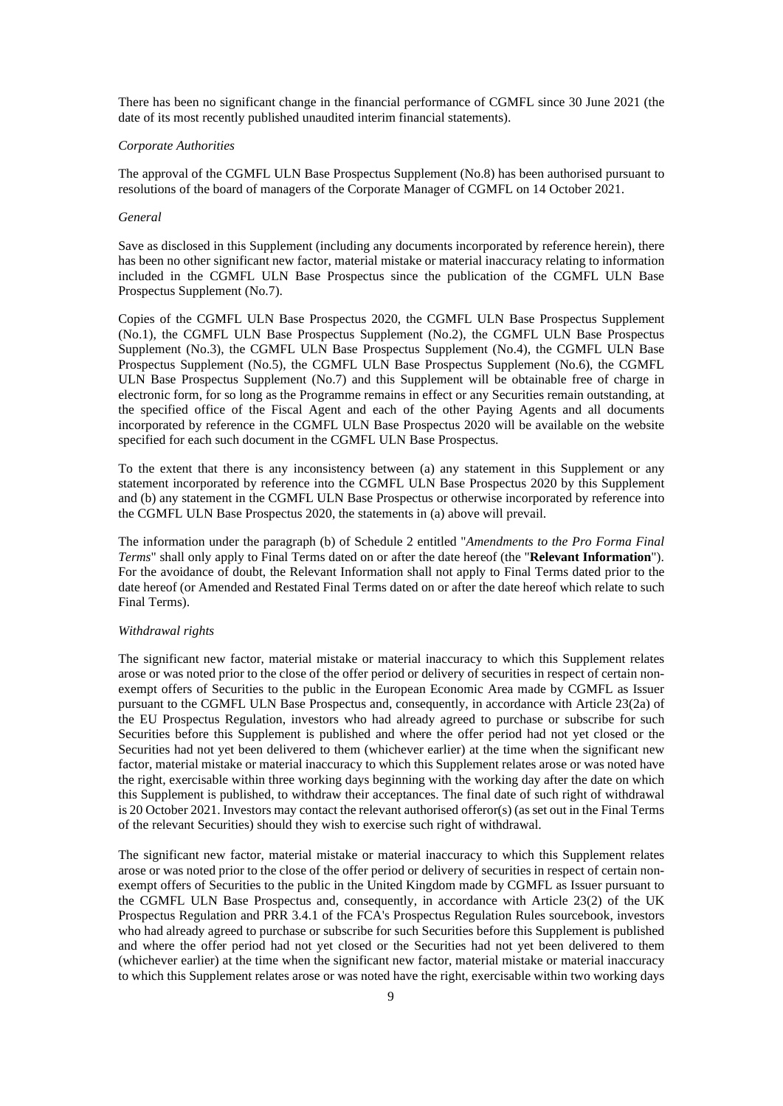There has been no significant change in the financial performance of CGMFL since 30 June 2021 (the date of its most recently published unaudited interim financial statements).

#### *Corporate Authorities*

The approval of the CGMFL ULN Base Prospectus Supplement (No.8) has been authorised pursuant to resolutions of the board of managers of the Corporate Manager of CGMFL on 14 October 2021.

#### *General*

Save as disclosed in this Supplement (including any documents incorporated by reference herein), there has been no other significant new factor, material mistake or material inaccuracy relating to information included in the CGMFL ULN Base Prospectus since the publication of the CGMFL ULN Base Prospectus Supplement (No.7).

Copies of the CGMFL ULN Base Prospectus 2020, the CGMFL ULN Base Prospectus Supplement (No.1), the CGMFL ULN Base Prospectus Supplement (No.2), the CGMFL ULN Base Prospectus Supplement (No.3), the CGMFL ULN Base Prospectus Supplement (No.4), the CGMFL ULN Base Prospectus Supplement (No.5), the CGMFL ULN Base Prospectus Supplement (No.6), the CGMFL ULN Base Prospectus Supplement (No.7) and this Supplement will be obtainable free of charge in electronic form, for so long as the Programme remains in effect or any Securities remain outstanding, at the specified office of the Fiscal Agent and each of the other Paying Agents and all documents incorporated by reference in the CGMFL ULN Base Prospectus 2020 will be available on the website specified for each such document in the CGMFL ULN Base Prospectus.

To the extent that there is any inconsistency between (a) any statement in this Supplement or any statement incorporated by reference into the CGMFL ULN Base Prospectus 2020 by this Supplement and (b) any statement in the CGMFL ULN Base Prospectus or otherwise incorporated by reference into the CGMFL ULN Base Prospectus 2020, the statements in (a) above will prevail.

The information under the paragraph (b) of Schedule 2 entitled "*Amendments to the Pro Forma Final Terms*" shall only apply to Final Terms dated on or after the date hereof (the "**Relevant Information**"). For the avoidance of doubt, the Relevant Information shall not apply to Final Terms dated prior to the date hereof (or Amended and Restated Final Terms dated on or after the date hereof which relate to such Final Terms).

### *Withdrawal rights*

The significant new factor, material mistake or material inaccuracy to which this Supplement relates arose or was noted prior to the close of the offer period or delivery of securities in respect of certain nonexempt offers of Securities to the public in the European Economic Area made by CGMFL as Issuer pursuant to the CGMFL ULN Base Prospectus and, consequently, in accordance with Article 23(2a) of the EU Prospectus Regulation, investors who had already agreed to purchase or subscribe for such Securities before this Supplement is published and where the offer period had not yet closed or the Securities had not yet been delivered to them (whichever earlier) at the time when the significant new factor, material mistake or material inaccuracy to which this Supplement relates arose or was noted have the right, exercisable within three working days beginning with the working day after the date on which this Supplement is published, to withdraw their acceptances. The final date of such right of withdrawal is 20 October 2021. Investors may contact the relevant authorised offeror(s) (as set out in the Final Terms of the relevant Securities) should they wish to exercise such right of withdrawal.

The significant new factor, material mistake or material inaccuracy to which this Supplement relates arose or was noted prior to the close of the offer period or delivery of securities in respect of certain nonexempt offers of Securities to the public in the United Kingdom made by CGMFL as Issuer pursuant to the CGMFL ULN Base Prospectus and, consequently, in accordance with Article 23(2) of the UK Prospectus Regulation and PRR 3.4.1 of the FCA's Prospectus Regulation Rules sourcebook, investors who had already agreed to purchase or subscribe for such Securities before this Supplement is published and where the offer period had not yet closed or the Securities had not yet been delivered to them (whichever earlier) at the time when the significant new factor, material mistake or material inaccuracy to which this Supplement relates arose or was noted have the right, exercisable within two working days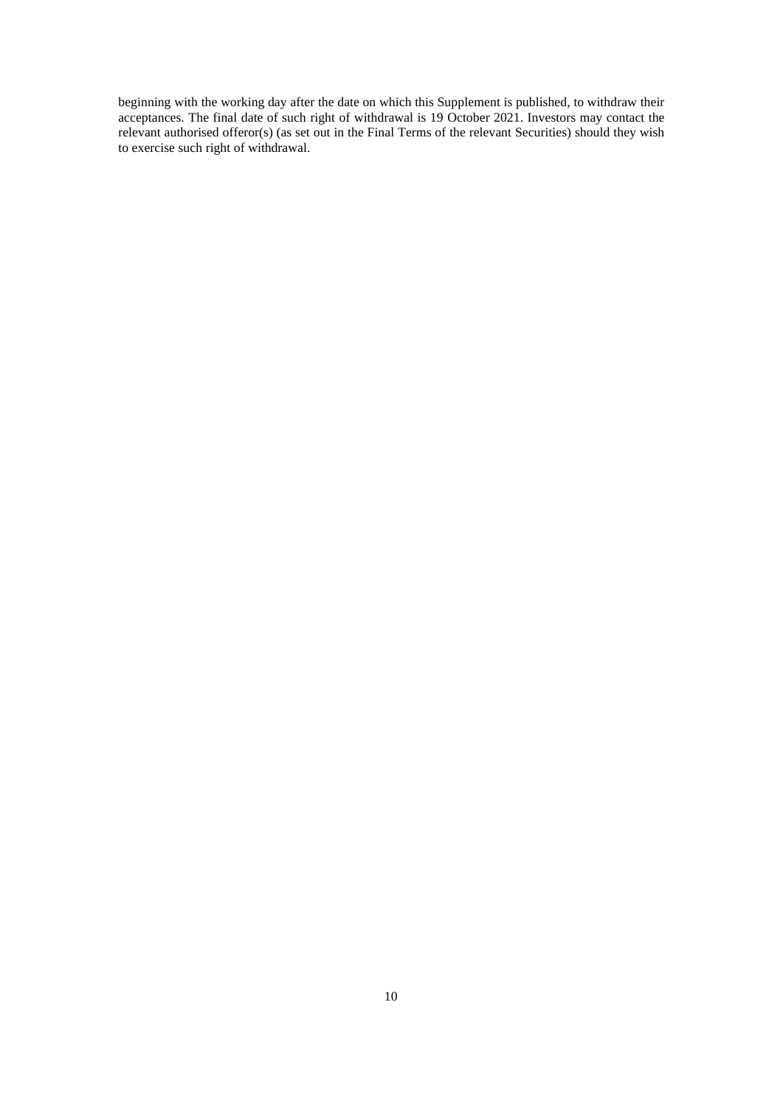beginning with the working day after the date on which this Supplement is published, to withdraw their acceptances. The final date of such right of withdrawal is 19 October 2021. Investors may contact the relevant authorised offeror(s) (as set out in the Final Terms of the relevant Securities) should they wish to exercise such right of withdrawal.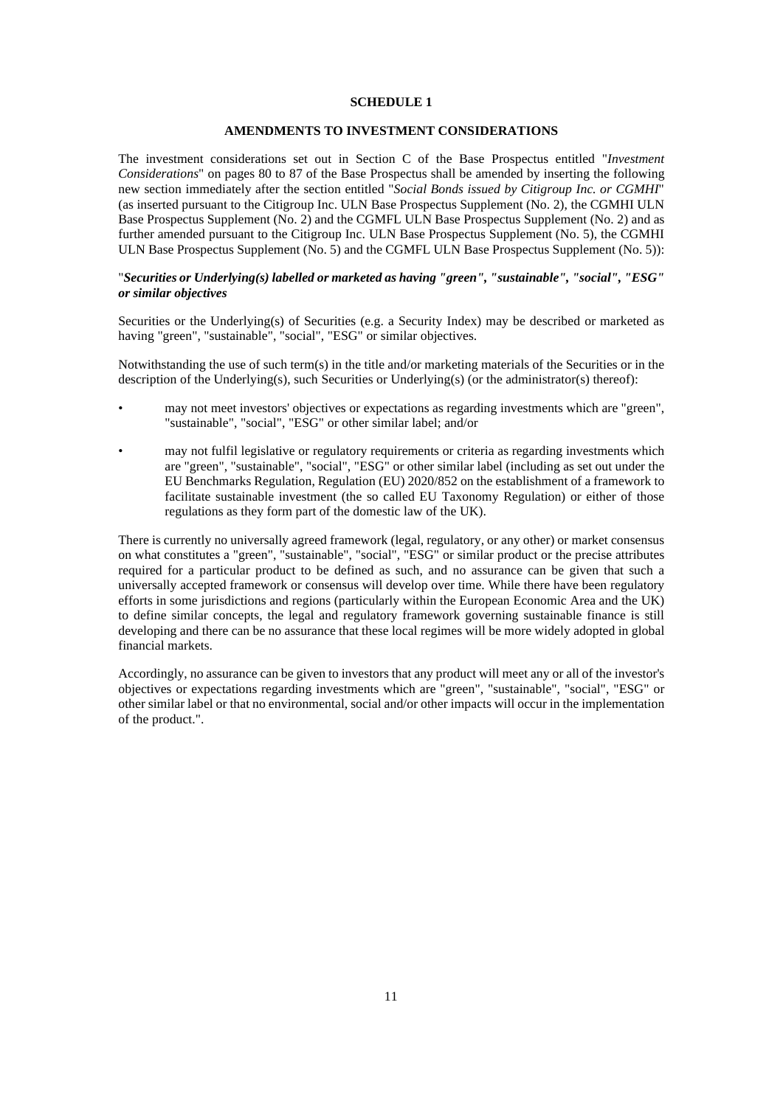# **AMENDMENTS TO INVESTMENT CONSIDERATIONS**

The investment considerations set out in Section C of the Base Prospectus entitled "*Investment Considerations*" on pages 80 to 87 of the Base Prospectus shall be amended by inserting the following new section immediately after the section entitled "*Social Bonds issued by Citigroup Inc. or CGMHI*" (as inserted pursuant to the Citigroup Inc. ULN Base Prospectus Supplement (No. 2), the CGMHI ULN Base Prospectus Supplement (No. 2) and the CGMFL ULN Base Prospectus Supplement (No. 2) and as further amended pursuant to the Citigroup Inc. ULN Base Prospectus Supplement (No. 5), the CGMHI ULN Base Prospectus Supplement (No. 5) and the CGMFL ULN Base Prospectus Supplement (No. 5)):

# "*Securities or Underlying(s) labelled or marketed as having "green", "sustainable", "social", "ESG" or similar objectives*

Securities or the Underlying(s) of Securities (e.g. a Security Index) may be described or marketed as having "green", "sustainable", "social", "ESG" or similar objectives.

Notwithstanding the use of such term(s) in the title and/or marketing materials of the Securities or in the description of the Underlying(s), such Securities or Underlying(s) (or the administrator(s) thereof):

- may not meet investors' objectives or expectations as regarding investments which are "green", "sustainable", "social", "ESG" or other similar label; and/or
- may not fulfil legislative or regulatory requirements or criteria as regarding investments which are "green", "sustainable", "social", "ESG" or other similar label (including as set out under the EU Benchmarks Regulation, Regulation (EU) 2020/852 on the establishment of a framework to facilitate sustainable investment (the so called EU Taxonomy Regulation) or either of those regulations as they form part of the domestic law of the UK).

There is currently no universally agreed framework (legal, regulatory, or any other) or market consensus on what constitutes a "green", "sustainable", "social", "ESG" or similar product or the precise attributes required for a particular product to be defined as such, and no assurance can be given that such a universally accepted framework or consensus will develop over time. While there have been regulatory efforts in some jurisdictions and regions (particularly within the European Economic Area and the UK) to define similar concepts, the legal and regulatory framework governing sustainable finance is still developing and there can be no assurance that these local regimes will be more widely adopted in global financial markets.

Accordingly, no assurance can be given to investors that any product will meet any or all of the investor's objectives or expectations regarding investments which are "green", "sustainable", "social", "ESG" or other similar label or that no environmental, social and/or other impacts will occur in the implementation of the product.".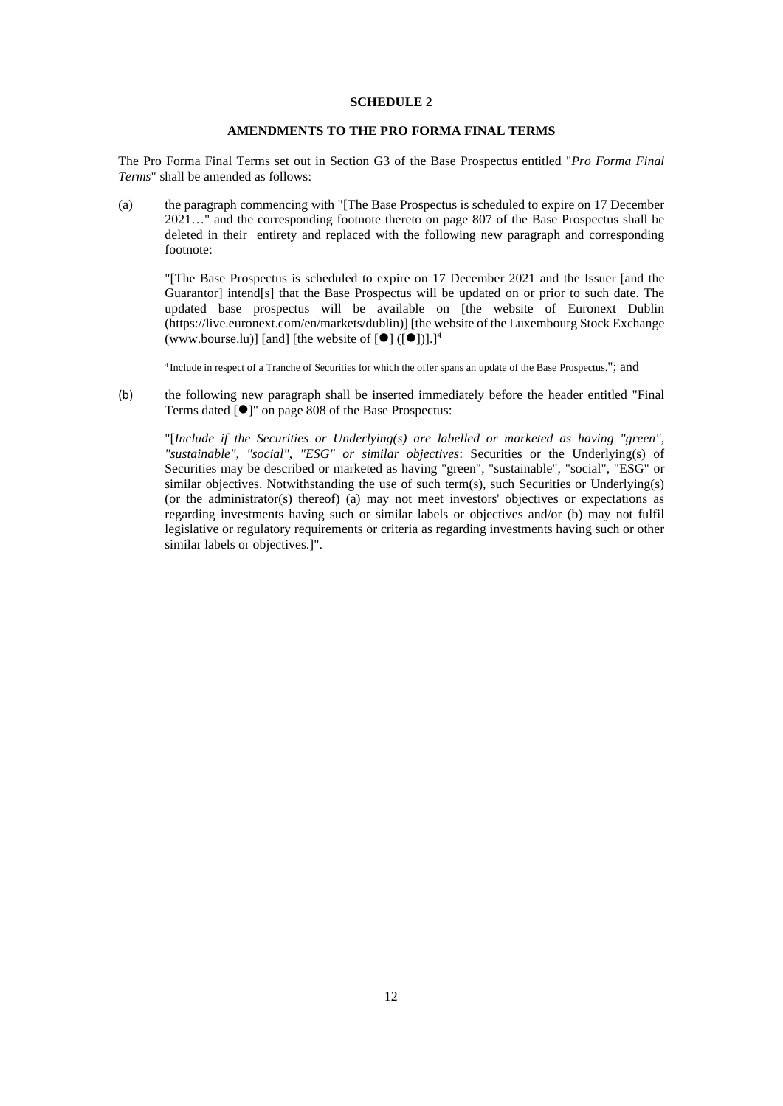# **AMENDMENTS TO THE PRO FORMA FINAL TERMS**

The Pro Forma Final Terms set out in Section G3 of the Base Prospectus entitled "*Pro Forma Final Terms*" shall be amended as follows:

(a) the paragraph commencing with "[The Base Prospectus is scheduled to expire on 17 December 2021…" and the corresponding footnote thereto on page 807 of the Base Prospectus shall be deleted in their entirety and replaced with the following new paragraph and corresponding footnote:

"[The Base Prospectus is scheduled to expire on 17 December 2021 and the Issuer [and the Guarantor] intend[s] that the Base Prospectus will be updated on or prior to such date. The updated base prospectus will be available on [the website of Euronext Dublin (https://live.euronext.com/en/markets/dublin)] [the website of the Luxembourg Stock Exchange (www.bourse.lu)] [and] [the website of  $[①] ([③])$ ].]<sup>4</sup>

<sup>4</sup>Include in respect of a Tranche of Securities for which the offer spans an update of the Base Prospectus."; and

(b) the following new paragraph shall be inserted immediately before the header entitled "Final Terms dated  $\lceil \bullet \rceil$ " on page 808 of the Base Prospectus:

"[*Include if the Securities or Underlying(s) are labelled or marketed as having "green", "sustainable", "social", "ESG" or similar objectives*: Securities or the Underlying(s) of Securities may be described or marketed as having "green", "sustainable", "social", "ESG" or similar objectives. Notwithstanding the use of such term(s), such Securities or Underlying(s) (or the administrator(s) thereof) (a) may not meet investors' objectives or expectations as regarding investments having such or similar labels or objectives and/or (b) may not fulfil legislative or regulatory requirements or criteria as regarding investments having such or other similar labels or objectives.<sup>]"</sup>.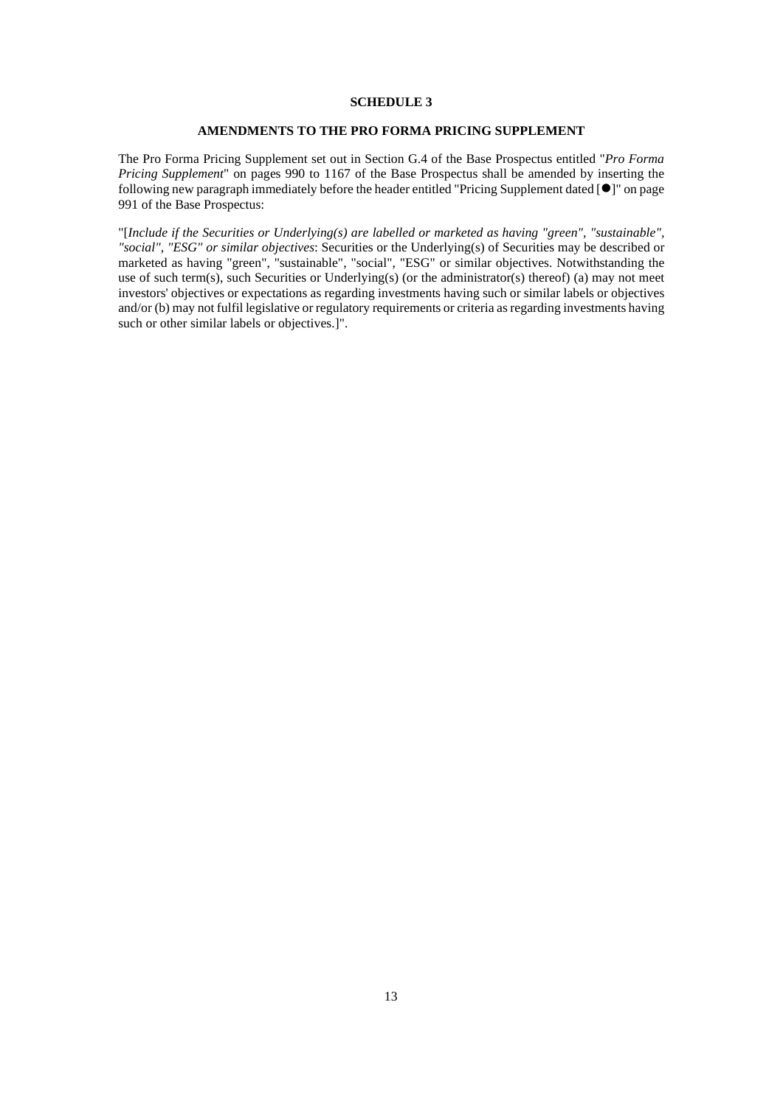# **AMENDMENTS TO THE PRO FORMA PRICING SUPPLEMENT**

The Pro Forma Pricing Supplement set out in Section G.4 of the Base Prospectus entitled "*Pro Forma Pricing Supplement*" on pages 990 to 1167 of the Base Prospectus shall be amended by inserting the following new paragraph immediately before the header entitled "Pricing Supplement dated  $[\bullet]$ " on page 991 of the Base Prospectus:

"[*Include if the Securities or Underlying(s) are labelled or marketed as having "green", "sustainable", "social", "ESG" or similar objectives*: Securities or the Underlying(s) of Securities may be described or marketed as having "green", "sustainable", "social", "ESG" or similar objectives. Notwithstanding the use of such term(s), such Securities or Underlying(s) (or the administrator(s) thereof) (a) may not meet investors' objectives or expectations as regarding investments having such or similar labels or objectives and/or (b) may not fulfil legislative or regulatory requirements or criteria as regarding investments having such or other similar labels or objectives.]".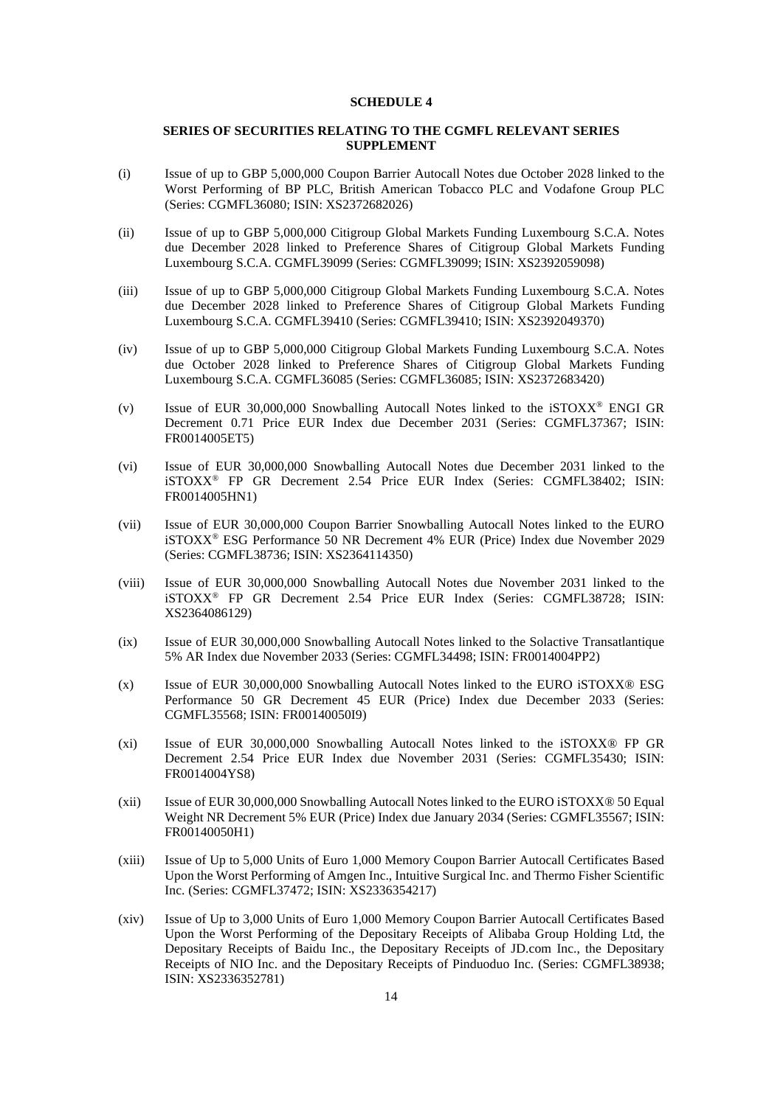# **SERIES OF SECURITIES RELATING TO THE CGMFL RELEVANT SERIES SUPPLEMENT**

- (i) Issue of up to GBP 5,000,000 Coupon Barrier Autocall Notes due October 2028 linked to the Worst Performing of BP PLC, British American Tobacco PLC and Vodafone Group PLC (Series: CGMFL36080; ISIN: XS2372682026)
- (ii) Issue of up to GBP 5,000,000 Citigroup Global Markets Funding Luxembourg S.C.A. Notes due December 2028 linked to Preference Shares of Citigroup Global Markets Funding Luxembourg S.C.A. CGMFL39099 (Series: CGMFL39099; ISIN: XS2392059098)
- (iii) Issue of up to GBP 5,000,000 Citigroup Global Markets Funding Luxembourg S.C.A. Notes due December 2028 linked to Preference Shares of Citigroup Global Markets Funding Luxembourg S.C.A. CGMFL39410 (Series: CGMFL39410; ISIN: XS2392049370)
- (iv) Issue of up to GBP 5,000,000 Citigroup Global Markets Funding Luxembourg S.C.A. Notes due October 2028 linked to Preference Shares of Citigroup Global Markets Funding Luxembourg S.C.A. CGMFL36085 (Series: CGMFL36085; ISIN: XS2372683420)
- (v) Issue of EUR 30,000,000 Snowballing Autocall Notes linked to the iSTOXX® ENGI GR Decrement 0.71 Price EUR Index due December 2031 (Series: CGMFL37367; ISIN: FR0014005ET5)
- (vi) Issue of EUR 30,000,000 Snowballing Autocall Notes due December 2031 linked to the iSTOXX® FP GR Decrement 2.54 Price EUR Index (Series: CGMFL38402; ISIN: FR0014005HN1)
- (vii) Issue of EUR 30,000,000 Coupon Barrier Snowballing Autocall Notes linked to the EURO iSTOXX® ESG Performance 50 NR Decrement 4% EUR (Price) Index due November 2029 (Series: CGMFL38736; ISIN: XS2364114350)
- (viii) Issue of EUR 30,000,000 Snowballing Autocall Notes due November 2031 linked to the iSTOXX® FP GR Decrement 2.54 Price EUR Index (Series: CGMFL38728; ISIN: XS2364086129)
- (ix) Issue of EUR 30,000,000 Snowballing Autocall Notes linked to the Solactive Transatlantique 5% AR Index due November 2033 (Series: CGMFL34498; ISIN: FR0014004PP2)
- (x) Issue of EUR 30,000,000 Snowballing Autocall Notes linked to the EURO iSTOXX® ESG Performance 50 GR Decrement 45 EUR (Price) Index due December 2033 (Series: CGMFL35568; ISIN: FR00140050I9)
- (xi) Issue of EUR 30,000,000 Snowballing Autocall Notes linked to the iSTOXX® FP GR Decrement 2.54 Price EUR Index due November 2031 (Series: CGMFL35430; ISIN: FR0014004YS8)
- (xii) Issue of EUR 30,000,000 Snowballing Autocall Notes linked to the EURO iSTOXX® 50 Equal Weight NR Decrement 5% EUR (Price) Index due January 2034 (Series: CGMFL35567; ISIN: FR00140050H1)
- (xiii) Issue of Up to 5,000 Units of Euro 1,000 Memory Coupon Barrier Autocall Certificates Based Upon the Worst Performing of Amgen Inc., Intuitive Surgical Inc. and Thermo Fisher Scientific Inc. (Series: CGMFL37472; ISIN: XS2336354217)
- (xiv) Issue of Up to 3,000 Units of Euro 1,000 Memory Coupon Barrier Autocall Certificates Based Upon the Worst Performing of the Depositary Receipts of Alibaba Group Holding Ltd, the Depositary Receipts of Baidu Inc., the Depositary Receipts of JD.com Inc., the Depositary Receipts of NIO Inc. and the Depositary Receipts of Pinduoduo Inc. (Series: CGMFL38938; ISIN: XS2336352781)